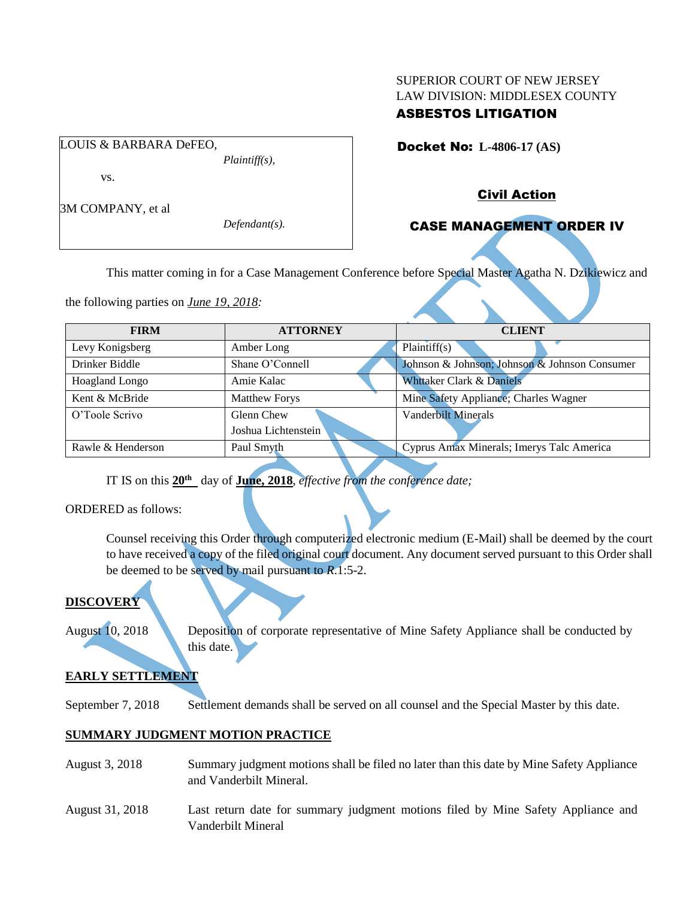## SUPERIOR COURT OF NEW JERSEY LAW DIVISION: MIDDLESEX COUNTY

## ASBESTOS LITIGATION

Docket No: **L-4806-17 (AS)** 

vs.

3M COMPANY, et al

LOUIS & BARBARA DeFEO,

*Defendant(s).*

*Plaintiff(s),*

### Civil Action

# CASE MANAGEMENT ORDER IV

This matter coming in for a Case Management Conference before Special Master Agatha N. Dzikiewicz and

the following parties on *June 19, 2018:*

| <b>FIRM</b>           | <b>ATTORNEY</b>      | <b>CLIENT</b>                                 |
|-----------------------|----------------------|-----------------------------------------------|
| Levy Konigsberg       | Amber Long           | Plaintiff(s)                                  |
| Drinker Biddle        | Shane O'Connell      | Johnson & Johnson; Johnson & Johnson Consumer |
| <b>Hoagland Longo</b> | Amie Kalac           | Whttaker Clark & Daniels                      |
| Kent & McBride        | <b>Matthew Forys</b> | Mine Safety Appliance; Charles Wagner         |
| O'Toole Scrivo        | Glenn Chew           | <b>Vanderbilt Minerals</b>                    |
|                       | Joshua Lichtenstein  |                                               |
| Rawle & Henderson     | Paul Smyth           | Cyprus Amax Minerals; Imerys Talc America     |

IT IS on this **20th** day of **June, 2018**, *effective from the conference date;*

ORDERED as follows:

Counsel receiving this Order through computerized electronic medium (E-Mail) shall be deemed by the court to have received a copy of the filed original court document. Any document served pursuant to this Order shall be deemed to be served by mail pursuant to *R*.1:5-2.

# **DISCOVERY**

August 10, 2018 Deposition of corporate representative of Mine Safety Appliance shall be conducted by this date.

# **EARLY SETTLEMENT**

September 7, 2018 Settlement demands shall be served on all counsel and the Special Master by this date.

### **SUMMARY JUDGMENT MOTION PRACTICE**

- August 3, 2018 Summary judgment motions shall be filed no later than this date by Mine Safety Appliance and Vanderbilt Mineral.
- August 31, 2018 Last return date for summary judgment motions filed by Mine Safety Appliance and Vanderbilt Mineral